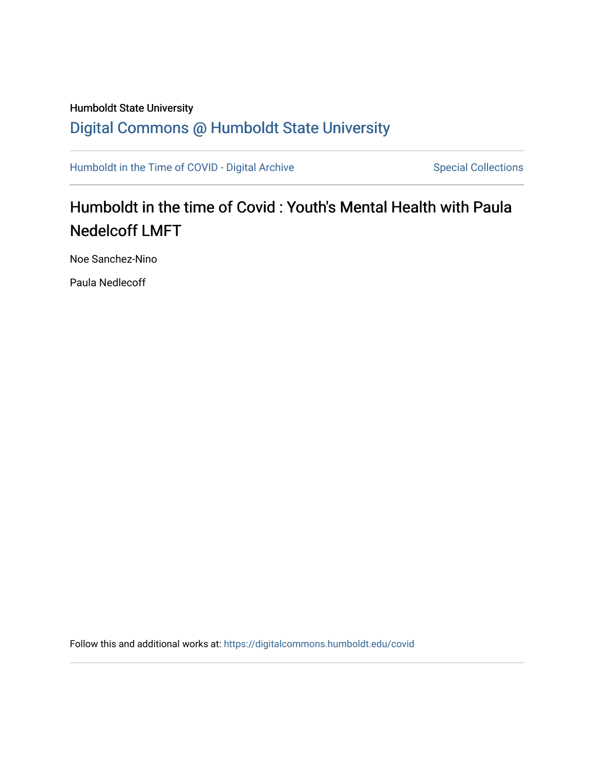# Humboldt State University [Digital Commons @ Humboldt State University](https://digitalcommons.humboldt.edu/)

[Humboldt in the Time of COVID - Digital Archive](https://digitalcommons.humboldt.edu/covid) Special Collections

# Humboldt in the time of Covid : Youth's Mental Health with Paula Nedelcoff LMFT

Noe Sanchez-Nino

Paula Nedlecoff

Follow this and additional works at: [https://digitalcommons.humboldt.edu/covid](https://digitalcommons.humboldt.edu/covid?utm_source=digitalcommons.humboldt.edu%2Fcovid%2F193&utm_medium=PDF&utm_campaign=PDFCoverPages)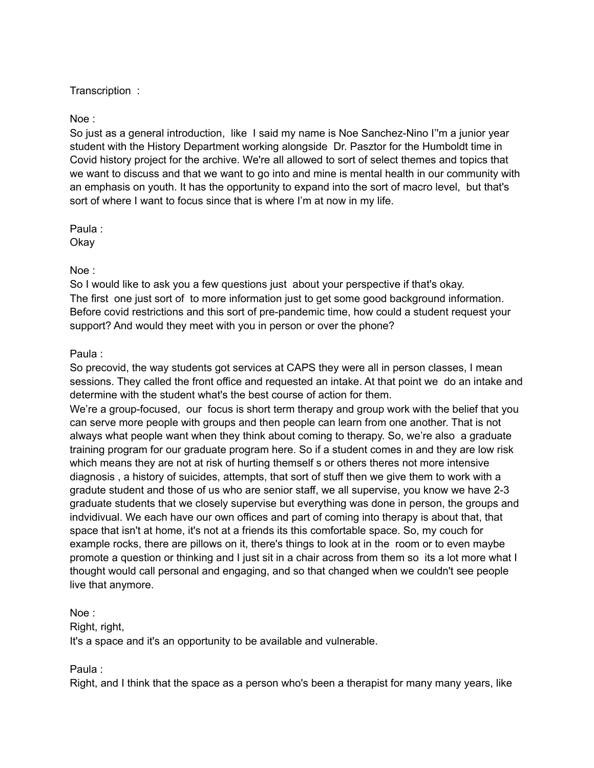# Transcription :

# Noe :

So just as a general introduction, like I said my name is Noe Sanchez-Nino I''m a junior year student with the History Department working alongside Dr. Pasztor for the Humboldt time in Covid history project for the archive. We're all allowed to sort of select themes and topics that we want to discuss and that we want to go into and mine is mental health in our community with an emphasis on youth. It has the opportunity to expand into the sort of macro level, but that's sort of where I want to focus since that is where I'm at now in my life.

Paula : Okay

# Noe :

So I would like to ask you a few questions just about your perspective if that's okay. The first one just sort of to more information just to get some good background information. Before covid restrictions and this sort of pre-pandemic time, how could a student request your support? And would they meet with you in person or over the phone?

# Paula :

So precovid, the way students got services at CAPS they were all in person classes, I mean sessions. They called the front office and requested an intake. At that point we do an intake and determine with the student what's the best course of action for them.

We're a group-focused, our focus is short term therapy and group work with the belief that you can serve more people with groups and then people can learn from one another. That is not always what people want when they think about coming to therapy. So, we're also a graduate training program for our graduate program here. So if a student comes in and they are low risk which means they are not at risk of hurting themself s or others theres not more intensive diagnosis , a history of suicides, attempts, that sort of stuff then we give them to work with a gradute student and those of us who are senior staff, we all supervise, you know we have 2-3 graduate students that we closely supervise but everything was done in person, the groups and indvidivual. We each have our own offices and part of coming into therapy is about that, that space that isn't at home, it's not at a friends its this comfortable space. So, my couch for example rocks, there are pillows on it, there's things to look at in the room or to even maybe promote a question or thinking and I just sit in a chair across from them so its a lot more what I thought would call personal and engaging, and so that changed when we couldn't see people live that anymore.

### Noe :

Right, right, It's a space and it's an opportunity to be available and vulnerable.

# Paula :

Right, and I think that the space as a person who's been a therapist for many many years, like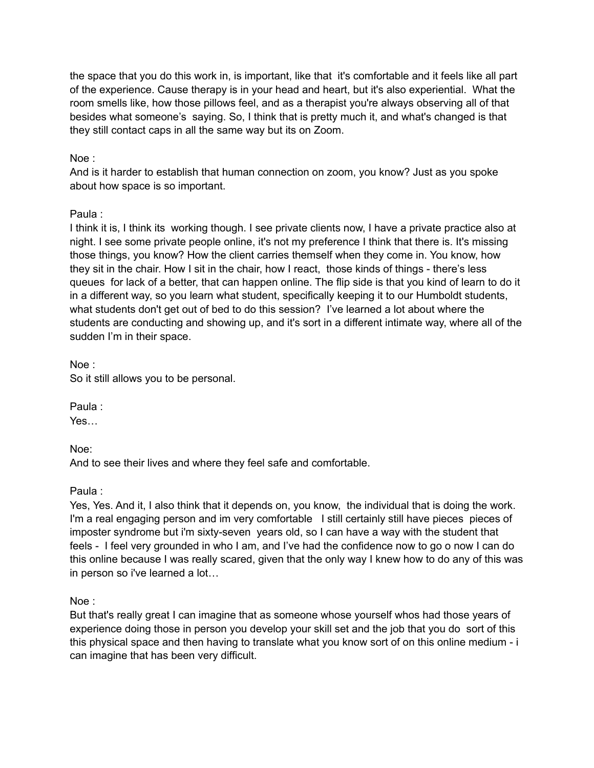the space that you do this work in, is important, like that it's comfortable and it feels like all part of the experience. Cause therapy is in your head and heart, but it's also experiential. What the room smells like, how those pillows feel, and as a therapist you're always observing all of that besides what someone's saying. So, I think that is pretty much it, and what's changed is that they still contact caps in all the same way but its on Zoom.

# Noe :

And is it harder to establish that human connection on zoom, you know? Just as you spoke about how space is so important.

# Paula :

I think it is, I think its working though. I see private clients now, I have a private practice also at night. I see some private people online, it's not my preference I think that there is. It's missing those things, you know? How the client carries themself when they come in. You know, how they sit in the chair. How I sit in the chair, how I react, those kinds of things - there's less queues for lack of a better, that can happen online. The flip side is that you kind of learn to do it in a different way, so you learn what student, specifically keeping it to our Humboldt students, what students don't get out of bed to do this session? I've learned a lot about where the students are conducting and showing up, and it's sort in a different intimate way, where all of the sudden I'm in their space.

Noe : So it still allows you to be personal.

Paula :

Yes…

Noe:

And to see their lives and where they feel safe and comfortable.

Paula :

Yes, Yes. And it, I also think that it depends on, you know, the individual that is doing the work. I'm a real engaging person and im very comfortable I still certainly still have pieces pieces of imposter syndrome but i'm sixty-seven years old, so I can have a way with the student that feels - I feel very grounded in who I am, and I've had the confidence now to go o now I can do this online because I was really scared, given that the only way I knew how to do any of this was in person so i've learned a lot…

Noe :

But that's really great I can imagine that as someone whose yourself whos had those years of experience doing those in person you develop your skill set and the job that you do sort of this this physical space and then having to translate what you know sort of on this online medium - i can imagine that has been very difficult.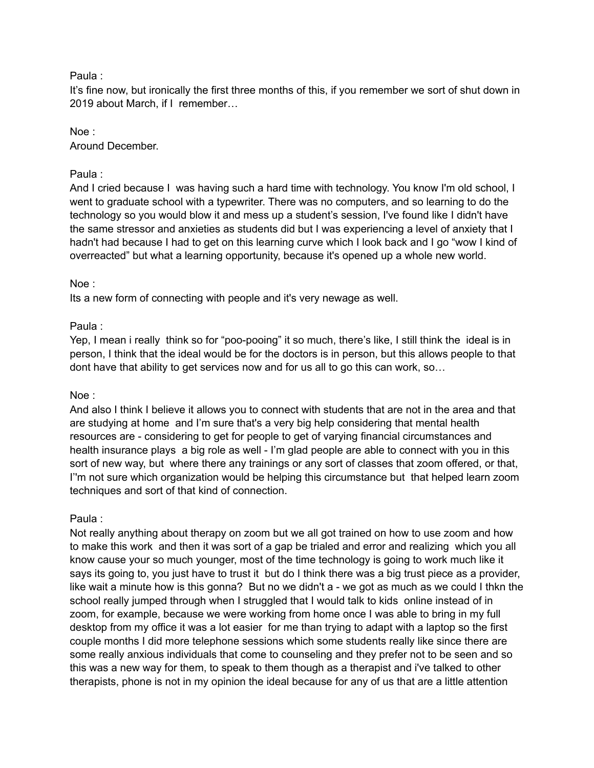### Paula :

It's fine now, but ironically the first three months of this, if you remember we sort of shut down in 2019 about March, if I remember…

# Noe :

Around December.

# Paula :

And I cried because I was having such a hard time with technology. You know I'm old school, I went to graduate school with a typewriter. There was no computers, and so learning to do the technology so you would blow it and mess up a student's session, I've found like I didn't have the same stressor and anxieties as students did but I was experiencing a level of anxiety that I hadn't had because I had to get on this learning curve which I look back and I go "wow I kind of overreacted" but what a learning opportunity, because it's opened up a whole new world.

# Noe :

Its a new form of connecting with people and it's very newage as well.

# Paula :

Yep, I mean i really think so for "poo-pooing" it so much, there's like, I still think the ideal is in person, I think that the ideal would be for the doctors is in person, but this allows people to that dont have that ability to get services now and for us all to go this can work, so…

# Noe :

And also I think I believe it allows you to connect with students that are not in the area and that are studying at home and I'm sure that's a very big help considering that mental health resources are - considering to get for people to get of varying financial circumstances and health insurance plays a big role as well - I'm glad people are able to connect with you in this sort of new way, but where there any trainings or any sort of classes that zoom offered, or that, I''m not sure which organization would be helping this circumstance but that helped learn zoom techniques and sort of that kind of connection.

# Paula :

Not really anything about therapy on zoom but we all got trained on how to use zoom and how to make this work and then it was sort of a gap be trialed and error and realizing which you all know cause your so much younger, most of the time technology is going to work much like it says its going to, you just have to trust it but do I think there was a big trust piece as a provider, like wait a minute how is this gonna? But no we didn't a - we got as much as we could I thkn the school really jumped through when I struggled that I would talk to kids online instead of in zoom, for example, because we were working from home once I was able to bring in my full desktop from my office it was a lot easier for me than trying to adapt with a laptop so the first couple months I did more telephone sessions which some students really like since there are some really anxious individuals that come to counseling and they prefer not to be seen and so this was a new way for them, to speak to them though as a therapist and i've talked to other therapists, phone is not in my opinion the ideal because for any of us that are a little attention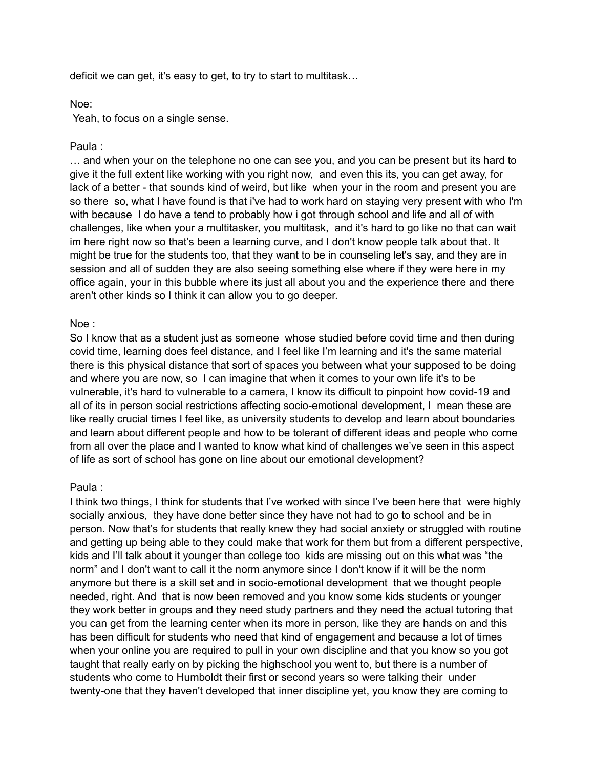deficit we can get, it's easy to get, to try to start to multitask…

### Noe:

Yeah, to focus on a single sense.

### Paula :

… and when your on the telephone no one can see you, and you can be present but its hard to give it the full extent like working with you right now, and even this its, you can get away, for lack of a better - that sounds kind of weird, but like when your in the room and present you are so there so, what I have found is that i've had to work hard on staying very present with who I'm with because I do have a tend to probably how i got through school and life and all of with challenges, like when your a multitasker, you multitask, and it's hard to go like no that can wait im here right now so that's been a learning curve, and I don't know people talk about that. It might be true for the students too, that they want to be in counseling let's say, and they are in session and all of sudden they are also seeing something else where if they were here in my office again, your in this bubble where its just all about you and the experience there and there aren't other kinds so I think it can allow you to go deeper.

### Noe :

So I know that as a student just as someone whose studied before covid time and then during covid time, learning does feel distance, and I feel like I'm learning and it's the same material there is this physical distance that sort of spaces you between what your supposed to be doing and where you are now, so I can imagine that when it comes to your own life it's to be vulnerable, it's hard to vulnerable to a camera, I know its difficult to pinpoint how covid-19 and all of its in person social restrictions affecting socio-emotional development, I mean these are like really crucial times I feel like, as university students to develop and learn about boundaries and learn about different people and how to be tolerant of different ideas and people who come from all over the place and I wanted to know what kind of challenges we've seen in this aspect of life as sort of school has gone on line about our emotional development?

### Paula :

I think two things, I think for students that I've worked with since I've been here that were highly socially anxious, they have done better since they have not had to go to school and be in person. Now that's for students that really knew they had social anxiety or struggled with routine and getting up being able to they could make that work for them but from a different perspective, kids and I'll talk about it younger than college too kids are missing out on this what was "the norm" and I don't want to call it the norm anymore since I don't know if it will be the norm anymore but there is a skill set and in socio-emotional development that we thought people needed, right. And that is now been removed and you know some kids students or younger they work better in groups and they need study partners and they need the actual tutoring that you can get from the learning center when its more in person, like they are hands on and this has been difficult for students who need that kind of engagement and because a lot of times when your online you are required to pull in your own discipline and that you know so you got taught that really early on by picking the highschool you went to, but there is a number of students who come to Humboldt their first or second years so were talking their under twenty-one that they haven't developed that inner discipline yet, you know they are coming to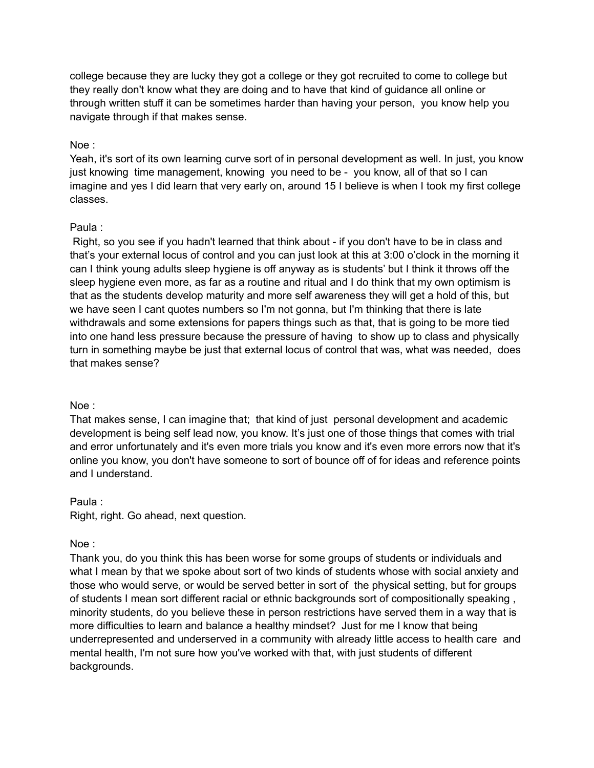college because they are lucky they got a college or they got recruited to come to college but they really don't know what they are doing and to have that kind of guidance all online or through written stuff it can be sometimes harder than having your person, you know help you navigate through if that makes sense.

### Noe :

Yeah, it's sort of its own learning curve sort of in personal development as well. In just, you know just knowing time management, knowing you need to be - you know, all of that so I can imagine and yes I did learn that very early on, around 15 I believe is when I took my first college classes.

### Paula :

Right, so you see if you hadn't learned that think about - if you don't have to be in class and that's your external locus of control and you can just look at this at 3:00 o'clock in the morning it can I think young adults sleep hygiene is off anyway as is students' but I think it throws off the sleep hygiene even more, as far as a routine and ritual and I do think that my own optimism is that as the students develop maturity and more self awareness they will get a hold of this, but we have seen I cant quotes numbers so I'm not gonna, but I'm thinking that there is late withdrawals and some extensions for papers things such as that, that is going to be more tied into one hand less pressure because the pressure of having to show up to class and physically turn in something maybe be just that external locus of control that was, what was needed, does that makes sense?

### Noe :

That makes sense, I can imagine that; that kind of just personal development and academic development is being self lead now, you know. It's just one of those things that comes with trial and error unfortunately and it's even more trials you know and it's even more errors now that it's online you know, you don't have someone to sort of bounce off of for ideas and reference points and I understand.

# Paula : Right, right. Go ahead, next question.

# Noe :

Thank you, do you think this has been worse for some groups of students or individuals and what I mean by that we spoke about sort of two kinds of students whose with social anxiety and those who would serve, or would be served better in sort of the physical setting, but for groups of students I mean sort different racial or ethnic backgrounds sort of compositionally speaking , minority students, do you believe these in person restrictions have served them in a way that is more difficulties to learn and balance a healthy mindset? Just for me I know that being underrepresented and underserved in a community with already little access to health care and mental health, I'm not sure how you've worked with that, with just students of different backgrounds.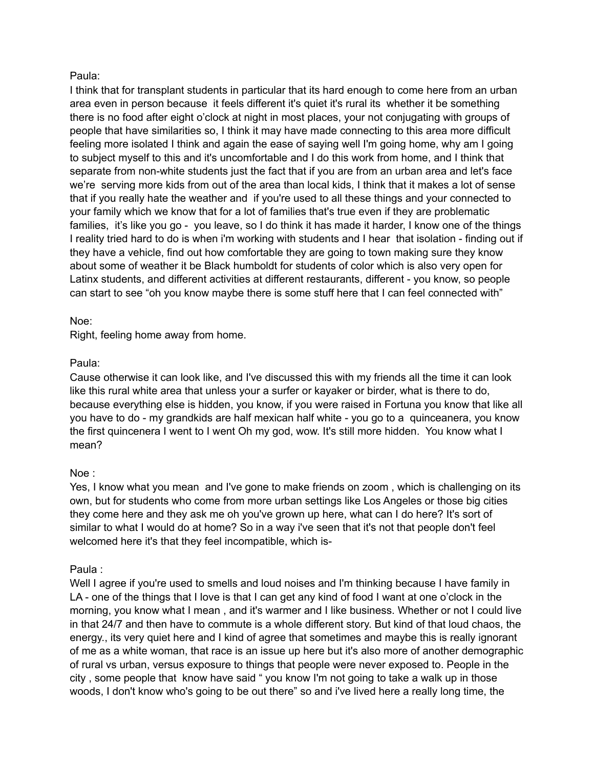### Paula:

I think that for transplant students in particular that its hard enough to come here from an urban area even in person because it feels different it's quiet it's rural its whether it be something there is no food after eight o'clock at night in most places, your not conjugating with groups of people that have similarities so, I think it may have made connecting to this area more difficult feeling more isolated I think and again the ease of saying well I'm going home, why am I going to subject myself to this and it's uncomfortable and I do this work from home, and I think that separate from non-white students just the fact that if you are from an urban area and let's face we're serving more kids from out of the area than local kids, I think that it makes a lot of sense that if you really hate the weather and if you're used to all these things and your connected to your family which we know that for a lot of families that's true even if they are problematic families, it's like you go - you leave, so I do think it has made it harder, I know one of the things I reality tried hard to do is when i'm working with students and I hear that isolation - finding out if they have a vehicle, find out how comfortable they are going to town making sure they know about some of weather it be Black humboldt for students of color which is also very open for Latinx students, and different activities at different restaurants, different - you know, so people can start to see "oh you know maybe there is some stuff here that I can feel connected with"

### Noe:

Right, feeling home away from home.

### Paula:

Cause otherwise it can look like, and I've discussed this with my friends all the time it can look like this rural white area that unless your a surfer or kayaker or birder, what is there to do, because everything else is hidden, you know, if you were raised in Fortuna you know that like all you have to do - my grandkids are half mexican half white - you go to a quinceanera, you know the first quincenera I went to I went Oh my god, wow. It's still more hidden. You know what I mean?

### Noe :

Yes, I know what you mean and I've gone to make friends on zoom , which is challenging on its own, but for students who come from more urban settings like Los Angeles or those big cities they come here and they ask me oh you've grown up here, what can I do here? It's sort of similar to what I would do at home? So in a way i've seen that it's not that people don't feel welcomed here it's that they feel incompatible, which is-

# Paula :

Well I agree if you're used to smells and loud noises and I'm thinking because I have family in LA - one of the things that I love is that I can get any kind of food I want at one o'clock in the morning, you know what I mean , and it's warmer and I like business. Whether or not I could live in that 24/7 and then have to commute is a whole different story. But kind of that loud chaos, the energy., its very quiet here and I kind of agree that sometimes and maybe this is really ignorant of me as a white woman, that race is an issue up here but it's also more of another demographic of rural vs urban, versus exposure to things that people were never exposed to. People in the city , some people that know have said " you know I'm not going to take a walk up in those woods, I don't know who's going to be out there" so and i've lived here a really long time, the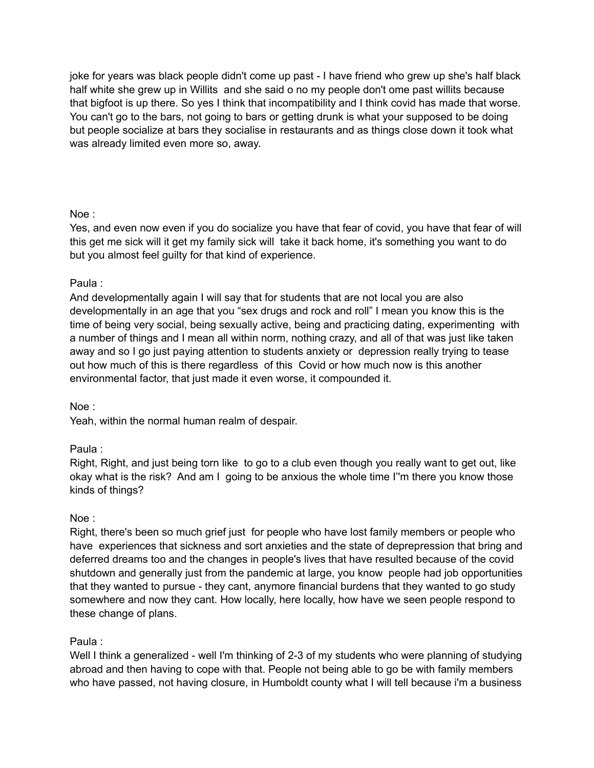joke for years was black people didn't come up past - I have friend who grew up she's half black half white she grew up in Willits and she said o no my people don't ome past willits because that bigfoot is up there. So yes I think that incompatibility and I think covid has made that worse. You can't go to the bars, not going to bars or getting drunk is what your supposed to be doing but people socialize at bars they socialise in restaurants and as things close down it took what was already limited even more so, away.

# Noe :

Yes, and even now even if you do socialize you have that fear of covid, you have that fear of will this get me sick will it get my family sick will take it back home, it's something you want to do but you almost feel guilty for that kind of experience.

# Paula :

And developmentally again I will say that for students that are not local you are also developmentally in an age that you "sex drugs and rock and roll" I mean you know this is the time of being very social, being sexually active, being and practicing dating, experimenting with a number of things and I mean all within norm, nothing crazy, and all of that was just like taken away and so I go just paying attention to students anxiety or depression really trying to tease out how much of this is there regardless of this Covid or how much now is this another environmental factor, that just made it even worse, it compounded it.

# Noe :

Yeah, within the normal human realm of despair.

# Paula :

Right, Right, and just being torn like to go to a club even though you really want to get out, like okay what is the risk? And am I going to be anxious the whole time I''m there you know those kinds of things?

# Noe :

Right, there's been so much grief just for people who have lost family members or people who have experiences that sickness and sort anxieties and the state of deprepression that bring and deferred dreams too and the changes in people's lives that have resulted because of the covid shutdown and generally just from the pandemic at large, you know people had job opportunities that they wanted to pursue - they cant, anymore financial burdens that they wanted to go study somewhere and now they cant. How locally, here locally, how have we seen people respond to these change of plans.

# Paula :

Well I think a generalized - well I'm thinking of 2-3 of my students who were planning of studying abroad and then having to cope with that. People not being able to go be with family members who have passed, not having closure, in Humboldt county what I will tell because i'm a business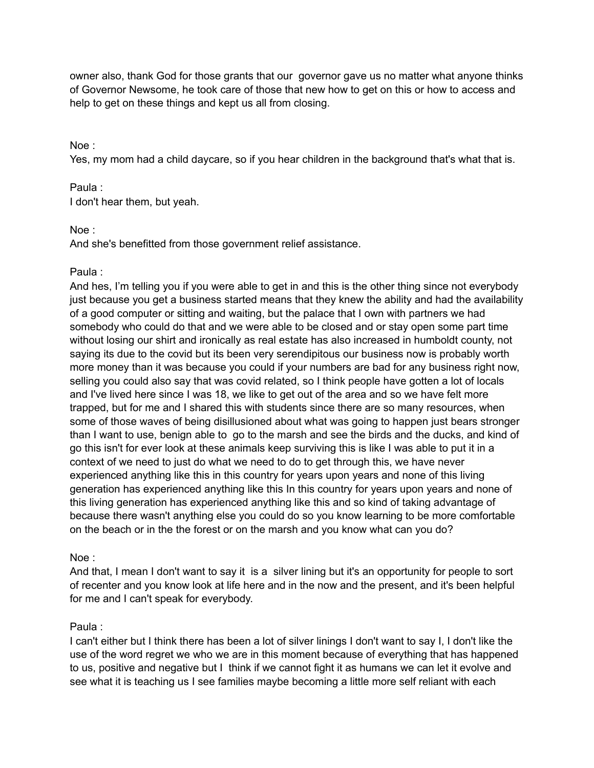owner also, thank God for those grants that our governor gave us no matter what anyone thinks of Governor Newsome, he took care of those that new how to get on this or how to access and help to get on these things and kept us all from closing.

Noe :

Yes, my mom had a child daycare, so if you hear children in the background that's what that is.

### Paula :

I don't hear them, but yeah.

### Noe :

And she's benefitted from those government relief assistance.

### Paula :

And hes, I'm telling you if you were able to get in and this is the other thing since not everybody just because you get a business started means that they knew the ability and had the availability of a good computer or sitting and waiting, but the palace that I own with partners we had somebody who could do that and we were able to be closed and or stay open some part time without losing our shirt and ironically as real estate has also increased in humboldt county, not saying its due to the covid but its been very serendipitous our business now is probably worth more money than it was because you could if your numbers are bad for any business right now, selling you could also say that was covid related, so I think people have gotten a lot of locals and I've lived here since I was 18, we like to get out of the area and so we have felt more trapped, but for me and I shared this with students since there are so many resources, when some of those waves of being disillusioned about what was going to happen just bears stronger than I want to use, benign able to go to the marsh and see the birds and the ducks, and kind of go this isn't for ever look at these animals keep surviving this is like I was able to put it in a context of we need to just do what we need to do to get through this, we have never experienced anything like this in this country for years upon years and none of this living generation has experienced anything like this In this country for years upon years and none of this living generation has experienced anything like this and so kind of taking advantage of because there wasn't anything else you could do so you know learning to be more comfortable on the beach or in the the forest or on the marsh and you know what can you do?

Noe :

And that, I mean I don't want to say it is a silver lining but it's an opportunity for people to sort of recenter and you know look at life here and in the now and the present, and it's been helpful for me and I can't speak for everybody.

### Paula :

I can't either but I think there has been a lot of silver linings I don't want to say I, I don't like the use of the word regret we who we are in this moment because of everything that has happened to us, positive and negative but I think if we cannot fight it as humans we can let it evolve and see what it is teaching us I see families maybe becoming a little more self reliant with each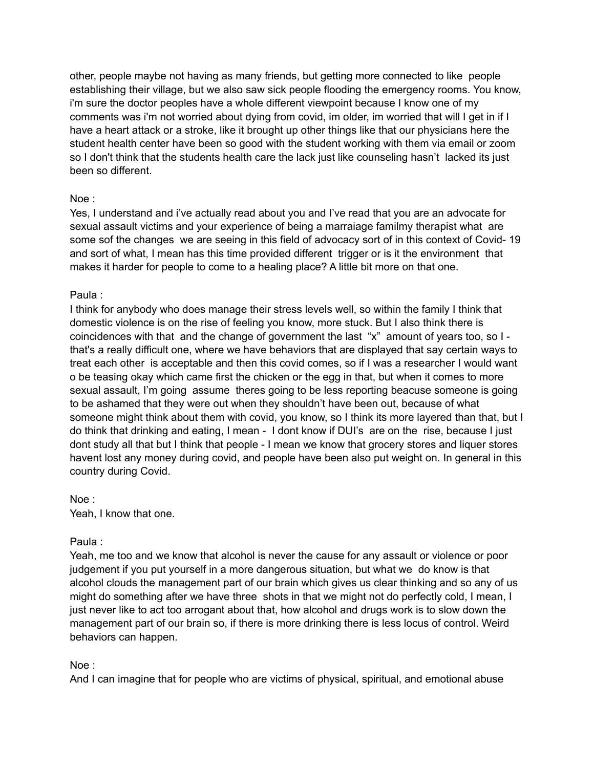other, people maybe not having as many friends, but getting more connected to like people establishing their village, but we also saw sick people flooding the emergency rooms. You know, i'm sure the doctor peoples have a whole different viewpoint because I know one of my comments was i'm not worried about dying from covid, im older, im worried that will I get in if I have a heart attack or a stroke, like it brought up other things like that our physicians here the student health center have been so good with the student working with them via email or zoom so I don't think that the students health care the lack just like counseling hasn't lacked its just been so different.

### Noe :

Yes, I understand and i've actually read about you and I've read that you are an advocate for sexual assault victims and your experience of being a marraiage familmy therapist what are some sof the changes we are seeing in this field of advocacy sort of in this context of Covid- 19 and sort of what, I mean has this time provided different trigger or is it the environment that makes it harder for people to come to a healing place? A little bit more on that one.

### Paula :

I think for anybody who does manage their stress levels well, so within the family I think that domestic violence is on the rise of feeling you know, more stuck. But I also think there is coincidences with that and the change of government the last "x" amount of years too, so I that's a really difficult one, where we have behaviors that are displayed that say certain ways to treat each other is acceptable and then this covid comes, so if I was a researcher I would want o be teasing okay which came first the chicken or the egg in that, but when it comes to more sexual assault, I'm going assume theres going to be less reporting beacuse someone is going to be ashamed that they were out when they shouldn't have been out, because of what someone might think about them with covid, you know, so I think its more layered than that, but I do think that drinking and eating, I mean - I dont know if DUI's are on the rise, because I just dont study all that but I think that people - I mean we know that grocery stores and liquer stores havent lost any money during covid, and people have been also put weight on. In general in this country during Covid.

Noe : Yeah, I know that one.

### Paula :

Yeah, me too and we know that alcohol is never the cause for any assault or violence or poor judgement if you put yourself in a more dangerous situation, but what we do know is that alcohol clouds the management part of our brain which gives us clear thinking and so any of us might do something after we have three shots in that we might not do perfectly cold, I mean, I just never like to act too arrogant about that, how alcohol and drugs work is to slow down the management part of our brain so, if there is more drinking there is less locus of control. Weird behaviors can happen.

### Noe :

And I can imagine that for people who are victims of physical, spiritual, and emotional abuse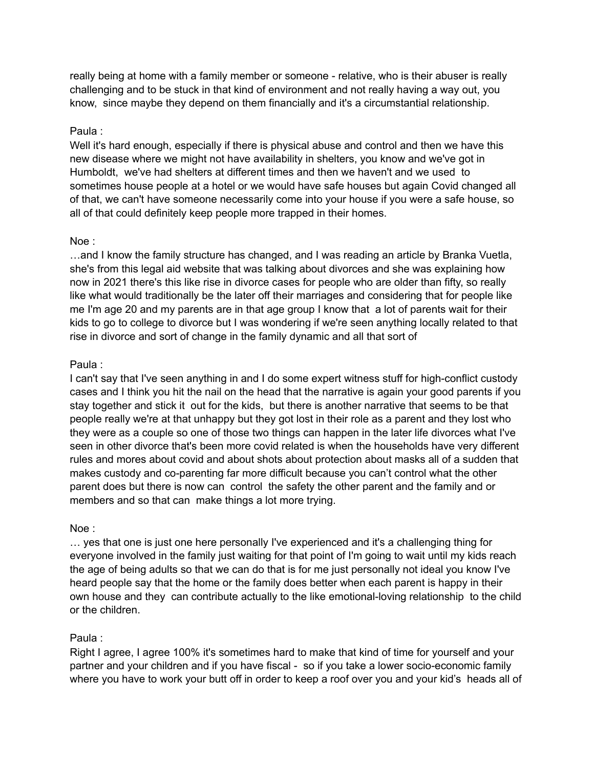really being at home with a family member or someone - relative, who is their abuser is really challenging and to be stuck in that kind of environment and not really having a way out, you know, since maybe they depend on them financially and it's a circumstantial relationship.

### Paula :

Well it's hard enough, especially if there is physical abuse and control and then we have this new disease where we might not have availability in shelters, you know and we've got in Humboldt, we've had shelters at different times and then we haven't and we used to sometimes house people at a hotel or we would have safe houses but again Covid changed all of that, we can't have someone necessarily come into your house if you were a safe house, so all of that could definitely keep people more trapped in their homes.

### Noe :

…and I know the family structure has changed, and I was reading an article by Branka Vuetla, she's from this legal aid website that was talking about divorces and she was explaining how now in 2021 there's this like rise in divorce cases for people who are older than fifty, so really like what would traditionally be the later off their marriages and considering that for people like me I'm age 20 and my parents are in that age group I know that a lot of parents wait for their kids to go to college to divorce but I was wondering if we're seen anything locally related to that rise in divorce and sort of change in the family dynamic and all that sort of

### Paula :

I can't say that I've seen anything in and I do some expert witness stuff for high-conflict custody cases and I think you hit the nail on the head that the narrative is again your good parents if you stay together and stick it out for the kids, but there is another narrative that seems to be that people really we're at that unhappy but they got lost in their role as a parent and they lost who they were as a couple so one of those two things can happen in the later life divorces what I've seen in other divorce that's been more covid related is when the households have very different rules and mores about covid and about shots about protection about masks all of a sudden that makes custody and co-parenting far more difficult because you can't control what the other parent does but there is now can control the safety the other parent and the family and or members and so that can make things a lot more trying.

# Noe :

… yes that one is just one here personally I've experienced and it's a challenging thing for everyone involved in the family just waiting for that point of I'm going to wait until my kids reach the age of being adults so that we can do that is for me just personally not ideal you know I've heard people say that the home or the family does better when each parent is happy in their own house and they can contribute actually to the like emotional-loving relationship to the child or the children.

# Paula :

Right I agree, I agree 100% it's sometimes hard to make that kind of time for yourself and your partner and your children and if you have fiscal - so if you take a lower socio-economic family where you have to work your butt off in order to keep a roof over you and your kid's heads all of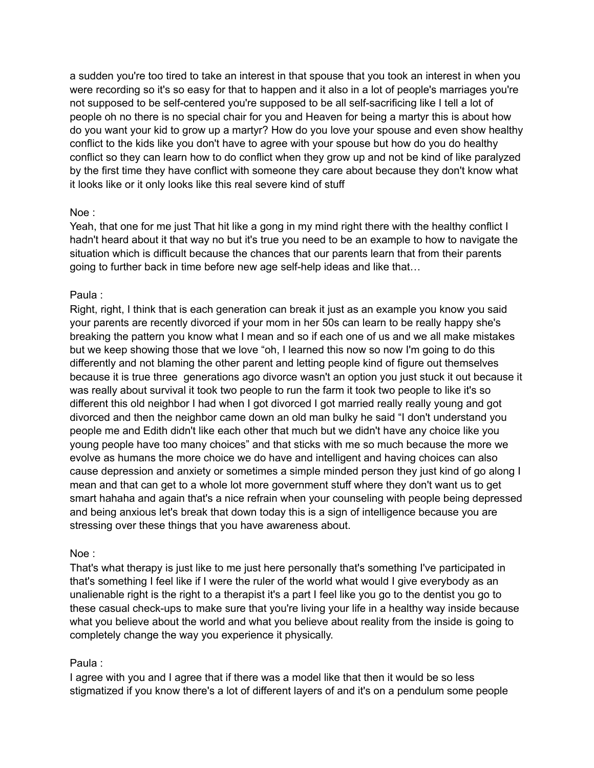a sudden you're too tired to take an interest in that spouse that you took an interest in when you were recording so it's so easy for that to happen and it also in a lot of people's marriages you're not supposed to be self-centered you're supposed to be all self-sacrificing like I tell a lot of people oh no there is no special chair for you and Heaven for being a martyr this is about how do you want your kid to grow up a martyr? How do you love your spouse and even show healthy conflict to the kids like you don't have to agree with your spouse but how do you do healthy conflict so they can learn how to do conflict when they grow up and not be kind of like paralyzed by the first time they have conflict with someone they care about because they don't know what it looks like or it only looks like this real severe kind of stuff

### Noe :

Yeah, that one for me just That hit like a gong in my mind right there with the healthy conflict I hadn't heard about it that way no but it's true you need to be an example to how to navigate the situation which is difficult because the chances that our parents learn that from their parents going to further back in time before new age self-help ideas and like that…

# Paula :

Right, right, I think that is each generation can break it just as an example you know you said your parents are recently divorced if your mom in her 50s can learn to be really happy she's breaking the pattern you know what I mean and so if each one of us and we all make mistakes but we keep showing those that we love "oh, I learned this now so now I'm going to do this differently and not blaming the other parent and letting people kind of figure out themselves because it is true three generations ago divorce wasn't an option you just stuck it out because it was really about survival it took two people to run the farm it took two people to like it's so different this old neighbor I had when I got divorced I got married really really young and got divorced and then the neighbor came down an old man bulky he said "I don't understand you people me and Edith didn't like each other that much but we didn't have any choice like you young people have too many choices" and that sticks with me so much because the more we evolve as humans the more choice we do have and intelligent and having choices can also cause depression and anxiety or sometimes a simple minded person they just kind of go along I mean and that can get to a whole lot more government stuff where they don't want us to get smart hahaha and again that's a nice refrain when your counseling with people being depressed and being anxious let's break that down today this is a sign of intelligence because you are stressing over these things that you have awareness about.

### Noe :

That's what therapy is just like to me just here personally that's something I've participated in that's something I feel like if I were the ruler of the world what would I give everybody as an unalienable right is the right to a therapist it's a part I feel like you go to the dentist you go to these casual check-ups to make sure that you're living your life in a healthy way inside because what you believe about the world and what you believe about reality from the inside is going to completely change the way you experience it physically.

# Paula :

I agree with you and I agree that if there was a model like that then it would be so less stigmatized if you know there's a lot of different layers of and it's on a pendulum some people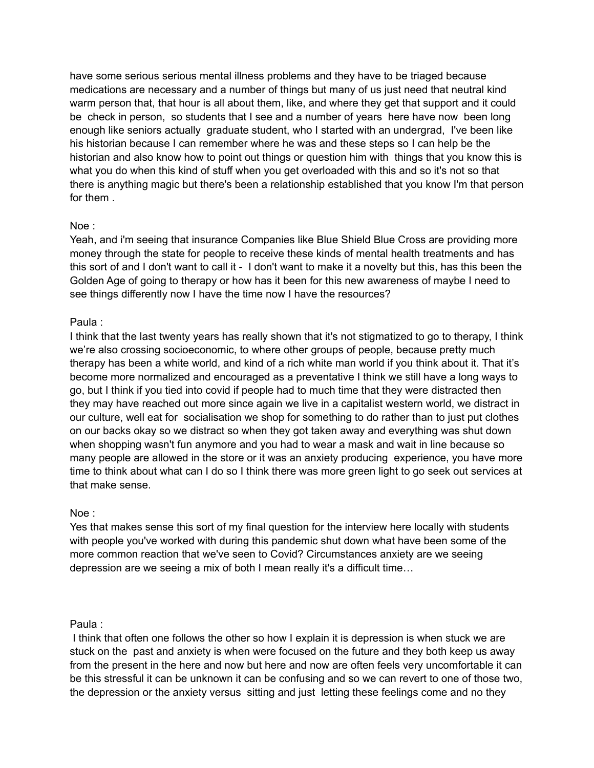have some serious serious mental illness problems and they have to be triaged because medications are necessary and a number of things but many of us just need that neutral kind warm person that, that hour is all about them, like, and where they get that support and it could be check in person, so students that I see and a number of years here have now been long enough like seniors actually graduate student, who I started with an undergrad, I've been like his historian because I can remember where he was and these steps so I can help be the historian and also know how to point out things or question him with things that you know this is what you do when this kind of stuff when you get overloaded with this and so it's not so that there is anything magic but there's been a relationship established that you know I'm that person for them .

### Noe :

Yeah, and i'm seeing that insurance Companies like Blue Shield Blue Cross are providing more money through the state for people to receive these kinds of mental health treatments and has this sort of and I don't want to call it - I don't want to make it a novelty but this, has this been the Golden Age of going to therapy or how has it been for this new awareness of maybe I need to see things differently now I have the time now I have the resources?

### Paula :

I think that the last twenty years has really shown that it's not stigmatized to go to therapy, I think we're also crossing socioeconomic, to where other groups of people, because pretty much therapy has been a white world, and kind of a rich white man world if you think about it. That it's become more normalized and encouraged as a preventative I think we still have a long ways to go, but I think if you tied into covid if people had to much time that they were distracted then they may have reached out more since again we live in a capitalist western world, we distract in our culture, well eat for socialisation we shop for something to do rather than to just put clothes on our backs okay so we distract so when they got taken away and everything was shut down when shopping wasn't fun anymore and you had to wear a mask and wait in line because so many people are allowed in the store or it was an anxiety producing experience, you have more time to think about what can I do so I think there was more green light to go seek out services at that make sense.

### Noe :

Yes that makes sense this sort of my final question for the interview here locally with students with people you've worked with during this pandemic shut down what have been some of the more common reaction that we've seen to Covid? Circumstances anxiety are we seeing depression are we seeing a mix of both I mean really it's a difficult time…

### Paula :

I think that often one follows the other so how I explain it is depression is when stuck we are stuck on the past and anxiety is when were focused on the future and they both keep us away from the present in the here and now but here and now are often feels very uncomfortable it can be this stressful it can be unknown it can be confusing and so we can revert to one of those two, the depression or the anxiety versus sitting and just letting these feelings come and no they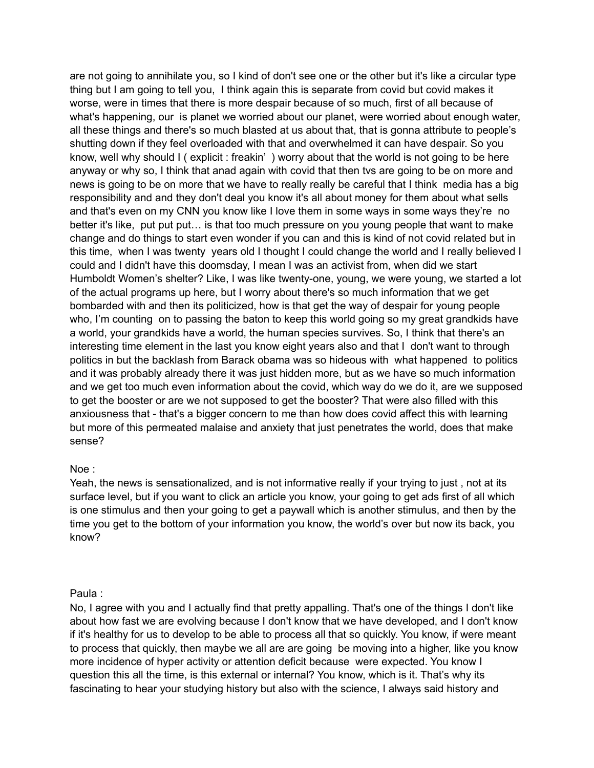are not going to annihilate you, so I kind of don't see one or the other but it's like a circular type thing but I am going to tell you, I think again this is separate from covid but covid makes it worse, were in times that there is more despair because of so much, first of all because of what's happening, our is planet we worried about our planet, were worried about enough water, all these things and there's so much blasted at us about that, that is gonna attribute to people's shutting down if they feel overloaded with that and overwhelmed it can have despair. So you know, well why should I ( explicit : freakin' ) worry about that the world is not going to be here anyway or why so, I think that anad again with covid that then tvs are going to be on more and news is going to be on more that we have to really really be careful that I think media has a big responsibility and and they don't deal you know it's all about money for them about what sells and that's even on my CNN you know like I love them in some ways in some ways they're no better it's like, put put put... is that too much pressure on you young people that want to make change and do things to start even wonder if you can and this is kind of not covid related but in this time, when I was twenty years old I thought I could change the world and I really believed I could and I didn't have this doomsday, I mean I was an activist from, when did we start Humboldt Women's shelter? Like, I was like twenty-one, young, we were young, we started a lot of the actual programs up here, but I worry about there's so much information that we get bombarded with and then its politicized, how is that get the way of despair for young people who, I'm counting on to passing the baton to keep this world going so my great grandkids have a world, your grandkids have a world, the human species survives. So, I think that there's an interesting time element in the last you know eight years also and that I don't want to through politics in but the backlash from Barack obama was so hideous with what happened to politics and it was probably already there it was just hidden more, but as we have so much information and we get too much even information about the covid, which way do we do it, are we supposed to get the booster or are we not supposed to get the booster? That were also filled with this anxiousness that - that's a bigger concern to me than how does covid affect this with learning but more of this permeated malaise and anxiety that just penetrates the world, does that make sense?

### Noe :

Yeah, the news is sensationalized, and is not informative really if your trying to just , not at its surface level, but if you want to click an article you know, your going to get ads first of all which is one stimulus and then your going to get a paywall which is another stimulus, and then by the time you get to the bottom of your information you know, the world's over but now its back, you know?

### Paula :

No, I agree with you and I actually find that pretty appalling. That's one of the things I don't like about how fast we are evolving because I don't know that we have developed, and I don't know if it's healthy for us to develop to be able to process all that so quickly. You know, if were meant to process that quickly, then maybe we all are are going be moving into a higher, like you know more incidence of hyper activity or attention deficit because were expected. You know I question this all the time, is this external or internal? You know, which is it. That's why its fascinating to hear your studying history but also with the science, I always said history and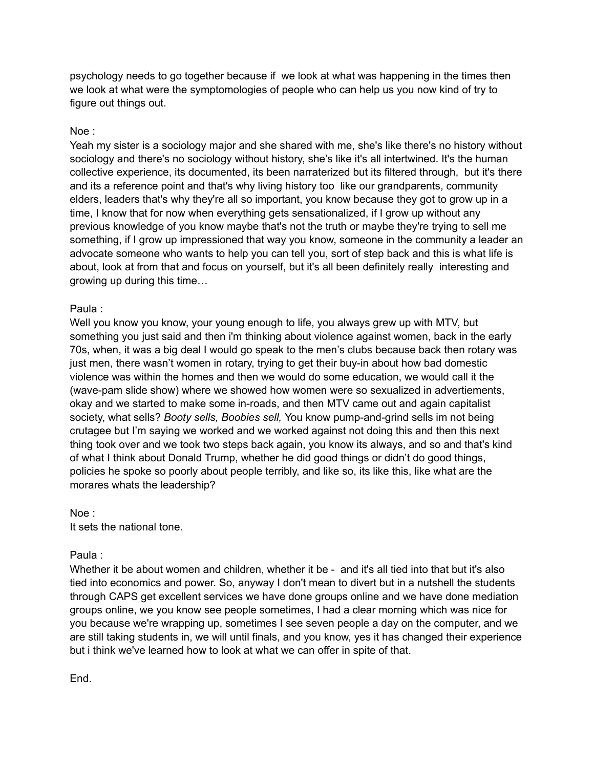psychology needs to go together because if we look at what was happening in the times then we look at what were the symptomologies of people who can help us you now kind of try to figure out things out.

### Noe :

Yeah my sister is a sociology major and she shared with me, she's like there's no history without sociology and there's no sociology without history, she's like it's all intertwined. It's the human collective experience, its documented, its been narraterized but its filtered through, but it's there and its a reference point and that's why living history too like our grandparents, community elders, leaders that's why they're all so important, you know because they got to grow up in a time, I know that for now when everything gets sensationalized, if I grow up without any previous knowledge of you know maybe that's not the truth or maybe they're trying to sell me something, if I grow up impressioned that way you know, someone in the community a leader an advocate someone who wants to help you can tell you, sort of step back and this is what life is about, look at from that and focus on yourself, but it's all been definitely really interesting and growing up during this time…

### Paula :

Well you know you know, your young enough to life, you always grew up with MTV, but something you just said and then i'm thinking about violence against women, back in the early 70s, when, it was a big deal I would go speak to the men's clubs because back then rotary was just men, there wasn't women in rotary, trying to get their buy-in about how bad domestic violence was within the homes and then we would do some education, we would call it the (wave-pam slide show) where we showed how women were so sexualized in advertiements, okay and we started to make some in-roads, and then MTV came out and again capitalist society, what sells? *Booty sells, Boobies sell,* You know pump-and-grind sells im not being crutagee but I'm saying we worked and we worked against not doing this and then this next thing took over and we took two steps back again, you know its always, and so and that's kind of what I think about Donald Trump, whether he did good things or didn't do good things, policies he spoke so poorly about people terribly, and like so, its like this, like what are the morares whats the leadership?

Noe : It sets the national tone.

### Paula :

Whether it be about women and children, whether it be - and it's all tied into that but it's also tied into economics and power. So, anyway I don't mean to divert but in a nutshell the students through CAPS get excellent services we have done groups online and we have done mediation groups online, we you know see people sometimes, I had a clear morning which was nice for you because we're wrapping up, sometimes I see seven people a day on the computer, and we are still taking students in, we will until finals, and you know, yes it has changed their experience but i think we've learned how to look at what we can offer in spite of that.

End.